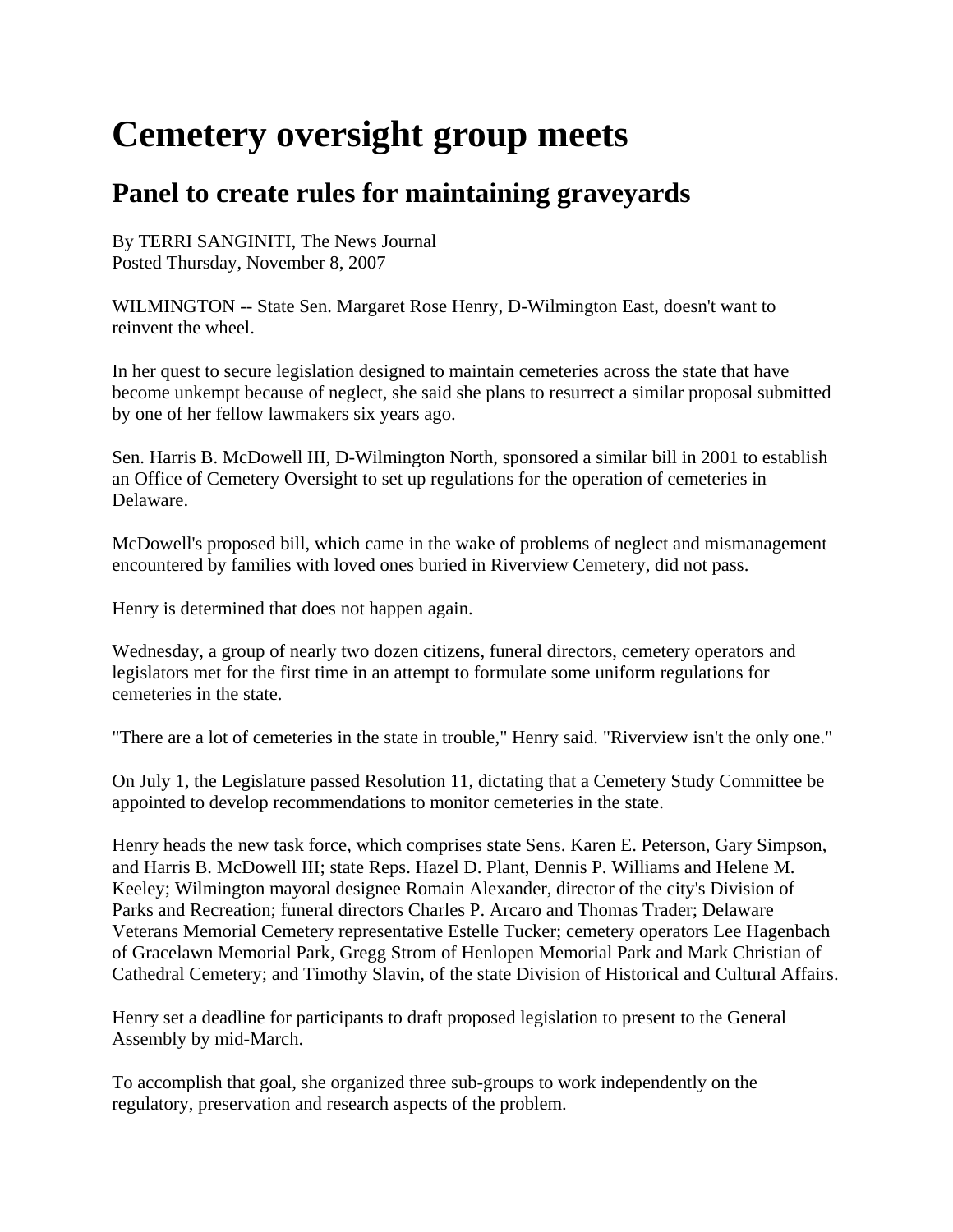## **Cemetery oversight group meets**

## **Panel to create rules for maintaining graveyards**

By TERRI SANGINITI, The News Journal Posted Thursday, November 8, 2007

WILMINGTON -- State Sen. Margaret Rose Henry, D-Wilmington East, doesn't want to reinvent the wheel.

In her quest to secure legislation designed to maintain cemeteries across the state that have become unkempt because of neglect, she said she plans to resurrect a similar proposal submitted by one of her fellow lawmakers six years ago.

Sen. Harris B. McDowell III, D-Wilmington North, sponsored a similar bill in 2001 to establish an Office of Cemetery Oversight to set up regulations for the operation of cemeteries in Delaware.

McDowell's proposed bill, which came in the wake of problems of neglect and mismanagement encountered by families with loved ones buried in Riverview Cemetery, did not pass.

Henry is determined that does not happen again.

Wednesday, a group of nearly two dozen citizens, funeral directors, cemetery operators and legislators met for the first time in an attempt to formulate some uniform regulations for cemeteries in the state.

"There are a lot of cemeteries in the state in trouble," Henry said. "Riverview isn't the only one."

On July 1, the Legislature passed Resolution 11, dictating that a Cemetery Study Committee be appointed to develop recommendations to monitor cemeteries in the state.

Henry heads the new task force, which comprises state Sens. Karen E. Peterson, Gary Simpson, and Harris B. McDowell III; state Reps. Hazel D. Plant, Dennis P. Williams and Helene M. Keeley; Wilmington mayoral designee Romain Alexander, director of the city's Division of Parks and Recreation; funeral directors Charles P. Arcaro and Thomas Trader; Delaware Veterans Memorial Cemetery representative Estelle Tucker; cemetery operators Lee Hagenbach of Gracelawn Memorial Park, Gregg Strom of Henlopen Memorial Park and Mark Christian of Cathedral Cemetery; and Timothy Slavin, of the state Division of Historical and Cultural Affairs.

Henry set a deadline for participants to draft proposed legislation to present to the General Assembly by mid-March.

To accomplish that goal, she organized three sub-groups to work independently on the regulatory, preservation and research aspects of the problem.